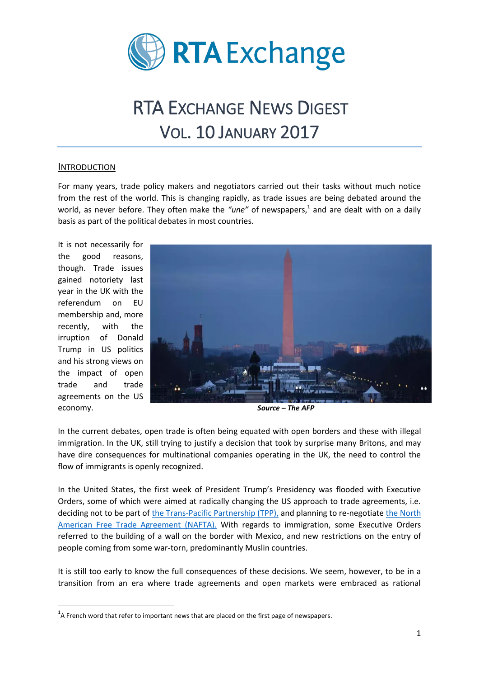

# RTA EXCHANGE NEWS DIGEST VOL. 10 JANUARY 2017

#### INTRODUCTION

For many years, trade policy makers and negotiators carried out their tasks without much notice from the rest of the world. This is changing rapidly, as trade issues are being debated around the world, as never before. They often make the "une" of newspapers,<sup>1</sup> and are dealt with on a daily basis as part of the political debates in most countries.

It is not necessarily for the good reasons, though. Trade issues gained notoriety last year in the UK with the referendum on EU membership and, more recently, with the irruption of Donald Trump in US politics and his strong views on the impact of open trade and trade agreements on the US economy.

**.** 



*Source – The AFP*

In the current debates, open trade is often being equated with open borders and these with illegal immigration. In the UK, still trying to justify a decision that took by surprise many Britons, and may have dire consequences for multinational companies operating in the UK, the need to control the flow of immigrants is openly recognized.

In the United States, the first week of President Trump's Presidency was flooded with Executive Orders, some of which were aimed at radically changing the US approach to trade agreements, i.e. deciding not to be part of [the Trans-Pacific Partnership \(TPP\),](http://www.bbc.com/news/business-32498715) and planning to re-negotiate [the North](https://ustr.gov/trade-agreements/free-trade-agreements/north-american-free-trade-agreement-naftahttps:/ustr.gov/trade-agreements/free-trade-agreements/north-american-free-trade-agreement-nafta)  [American Free Trade Agreement \(NAFTA\).](https://ustr.gov/trade-agreements/free-trade-agreements/north-american-free-trade-agreement-naftahttps:/ustr.gov/trade-agreements/free-trade-agreements/north-american-free-trade-agreement-nafta) With regards to immigration, some Executive Orders referred to the building of a wall on the border with Mexico, and new restrictions on the entry of people coming from some war-torn, predominantly Muslin countries.

It is still too early to know the full consequences of these decisions. We seem, however, to be in a transition from an era where trade agreements and open markets were embraced as rational

 $^{1}$ A French word that refer to important news that are placed on the first page of newspapers.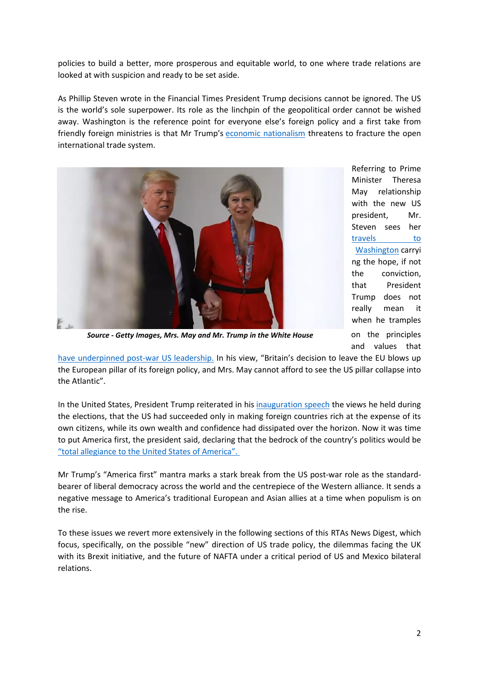policies to build a better, more prosperous and equitable world, to one where trade relations are looked at with suspicion and ready to be set aside.

As Phillip Steven wrote in the Financial Times President Trump decisions cannot be ignored. The US is the world's sole superpower. Its role as the linchpin of the geopolitical order cannot be wished away. Washington is the reference point for everyone else's foreign policy and a first take from friendly foreign ministries is that Mr Trump's [economic nationalism](https://www.ft.com/content/59d1a53e-b71a-11e6-961e-a1acd97f622d) threatens to fracture the open international trade system.



Referring to Prime Minister Theresa May relationship with the new US president, Mr. Steven sees her travels to [Washington](https://www.ft.com/content/d70192aa-e251-11e6-8405-9e5580d6e5fb) carryi ng the hope, if not the conviction, that President Trump does not really mean it when he tramples on the principles and values that

*Source - Getty Images, Mrs. May and Mr. Trump in the White House*

[have underpinned post-war US leadership.](https://www.ft.com/content/e40697d4-e2e7-11e6-9645-c9357a75844a?desktop=true&segmentId=7c8f09b9-9b61-4fbb-9430-9208a9e233c8) In his view, "Britain's decision to leave the EU blows up the European pillar of its foreign policy, and Mrs. May cannot afford to see the US pillar collapse into the Atlantic".

In the United States, President Trump reiterated in his [inauguration speech](http://www.cnn.com/2017/01/20/politics/trump-inaugural-address/) the views he held during the elections, that the US had succeeded only in making foreign countries rich at the expense of its own citizens, while its own wealth and confidence had dissipated over the horizon. Now it was time to put America first, the president said, declaring that the bedrock of the country's politics would be ["total allegiance to the United States of America".](https://www.ft.com/content/55c25f58-df31-11e6-9d7c-be108f1c1dce?desktop=true&segmentId=7c8f09b9-9b61-4fbb-9430-9208a9e233c8)

Mr Trump's "America first" mantra marks a stark break from the US post-war role as the standardbearer of liberal democracy across the world and the centrepiece of the Western alliance. It sends a negative message to America's traditional European and Asian allies at a time when populism is on the rise.

To these issues we revert more extensively in the following sections of this RTAs News Digest, which focus, specifically, on the possible "new" direction of US trade policy, the dilemmas facing the UK with its Brexit initiative, and the future of NAFTA under a critical period of US and Mexico bilateral relations.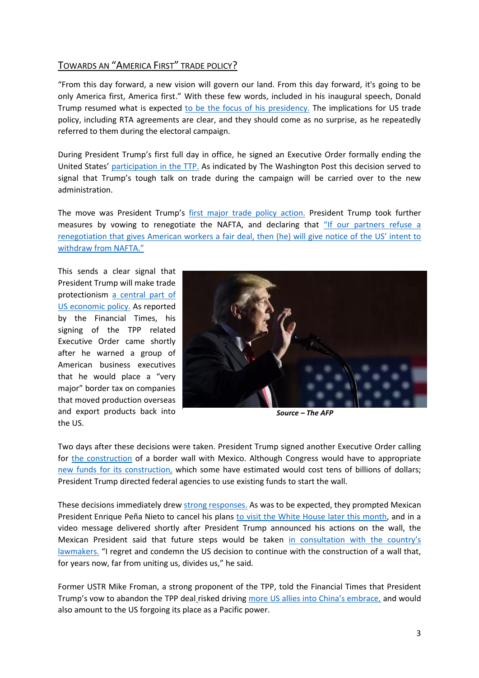## TOWARDS AN "AMERICA FIRST" TRADE POLICY?

"From this day forward, a new vision will govern our land. From this day forward, it's going to be only America first, America first." With these few words, included in his inaugural speech, Donald Trump resumed what is expected [to be the focus of his presidency.](https://www.nytimes.com/interactive/2017/01/20/us/politics/donald-trump-inauguration-speech-transcript.html?emc=edit_ta_20170120&nl=top-stories&nlid=59885640&ref=cta&_r=0https://www.nytimes.com/interactive/2017/01/20/us/politics/donald-trump-inauguration-speech-transcript.html?emc=edit_ta_20170120&nl=top-stories&nlid=59885640&ref=cta&_r=0) The implications for US trade policy, including RTA agreements are clear, and they should come as no surprise, as he repeatedly referred to them during the electoral campaign.

During President Trump's first full day in office, he signed an Executive Order formally ending the United States' [participation in the TTP.](https://www.washingtonpost.com/news/wonk/wp/2017/01/23/president-trump-signs-order-to-withdraw-from-transpacific-partnership/?utm_term=.64bc6a6de409) As indicated by The Washington Post this decision served to signal that Trump's tough talk on trade during the campaign will be carried over to the new administration.

The move was President Trump's [first major trade policy action.](https://www.ft.com/content/1dc6a021-d1e8-379b-a08b-3cfb6e2fb1ca) President Trump took further measures by vowing to renegotiate the NAFTA, and declaring that ["If our partners refuse a](https://www.whitehouse.gov/trade-deals-working-all-americans)  [renegotiation that gives American workers a fair deal, then \(he\) will give notice of the US](https://www.whitehouse.gov/trade-deals-working-all-americans)' intent to [withdraw from NAFTA.](https://www.whitehouse.gov/trade-deals-working-all-americans)"

This sends a clear signal that President Trump will make trade protectionism [a central part of](https://www.ft.com/content/cc7742a4-e17e-11e6-8405-9e5580d6e5fb?desktop=true&segmentId=7c8f09b9-9b61-4fbb-9430-9208a9e233c8)  [US economic policy.](https://www.ft.com/content/cc7742a4-e17e-11e6-8405-9e5580d6e5fb?desktop=true&segmentId=7c8f09b9-9b61-4fbb-9430-9208a9e233c8) As reported by the Financial Times, his signing of the TPP related Executive Order came shortly after he warned a group of American business executives that he would place a "very major" border tax on companies that moved production overseas and export products back into the US.



*Source – The AFP*

Two days after these decisions were taken. President Trump signed another Executive Order calling for [the construction](https://www.nytimes.com/2017/01/25/us/politics/refugees-immigrants-wall-trump.html?emc=edit_th_20170126&nl=todaysheadlines&nlid=59885640&_r=0) of a border wall with Mexico. Although Congress would have to appropriate new funds for its [construction,](https://www.nytimes.com/2017/01/25/us/politics/refugees-immigrants-wall-trump.html?emc=edit_th_20170126&nl=todaysheadlines&nlid=59885640&_r=0) which some have estimated would cost tens of billions of dollars; President Trump directed federal agencies to use existing funds to start the wall.

These decisions immediately dre[w strong responses.](http://www.bbc.com/news/world-us-canada-38760671) As was to be expected, they prompted Mexican President Enrique Peña Nieto to cancel his plans [to visit the White House later this month,](https://www.nytimes.com/2017/01/26/world/mexicos-president-cancels-meeting-with-trump-over-wall.html?emc=edit_na_20170126&nl=breaking-news&nlid=59885640&ref=headline&_r=0) and in a video message delivered shortly after President Trump announced his actions on the wall, the Mexican President said that future steps would be taken [in consultation with the country's](https://www.nytimes.com/2017/01/25/world/americas/trump-mexico-border-wall.html?hp&action=click&pgtype=Homepage&clickSource=story-heading&module=b-lede-package-region®ion=top-news&WT.nav=top-news)  [lawmakers.](https://www.nytimes.com/2017/01/25/world/americas/trump-mexico-border-wall.html?hp&action=click&pgtype=Homepage&clickSource=story-heading&module=b-lede-package-region®ion=top-news&WT.nav=top-news) "I regret and condemn the US decision to continue with the construction of a wall that, for years now, far from uniting us, divides us," he said.

Former USTR Mike Froman, a strong proponent of the TPP, told the Financial Times that President Trump's vow to abandon the TPP deal risked driving more [US allies into China's embrace,](https://www.ft.com/content/1c4dcd34-d6f8-11e6-944b-e7eb37a6aa8e?desktop=true&segmentId=7c8f09b9-9b61-4fbb-9430-9208a9e233c8) and would also amount to the US forgoing its place as a Pacific power.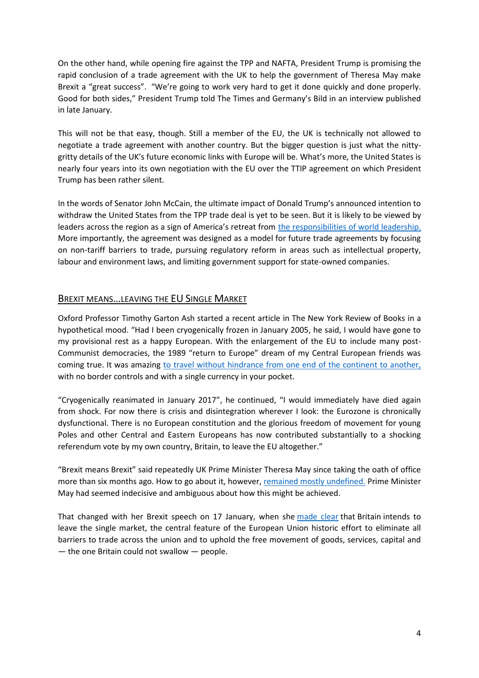On the other hand, while opening fire against the TPP and NAFTA, President Trump is promising the rapid conclusion of a trade agreement with the UK to help the government of Theresa May make Brexit a "great success". "We're going to work very hard to get it done quickly and done properly. Good for both sides," President Trump told The Times and Germany's Bild in an interview published in late January.

This will not be that easy, though. Still a member of the EU, the UK is technically not allowed to negotiate a trade agreement with another country. But the bigger question is just what the nittygritty details of the UK's future economic links with Europe will be. What's more, the United States is nearly four years into its own negotiation with the EU over the TTIP agreement on which President Trump has been rather silent.

In the words of Senator John McCain, the ultimate impact of Donald Trump's announced intention to withdraw the United States from the TPP trade deal is yet to be seen. But it is likely to be viewed by leaders across the region as a sign of America's retreat from [the responsibilities of world leadership.](https://www.ft.com/content/d1d4af52-baff-11e6-8b45-b8b81dd5d080) More importantly, the agreement was designed as a model for future trade agreements by focusing on non-tariff barriers to trade, pursuing regulatory reform in areas such as intellectual property, labour and environment laws, and limiting government support for state-owned companies.

### BREXIT MEANS…LEAVING THE EU SINGLE MARKET

Oxford Professor Timothy Garton Ash started a recent article in The New York Review of Books in a hypothetical mood. "Had I been cryogenically frozen in January 2005, he said, I would have gone to my provisional rest as a happy European. With the enlargement of the EU to include many post-Communist democracies, the 1989 "return to Europe" dream of my Central European friends was coming true. It was amazing [to travel without hindrance from one end of the continent to another,](http://www.nybooks.com/articles/2017/01/19/is-europe-disintegrating/?utm_medium=email&utm_campaign=NYR%20revolt%20of%20white%20Europe%20Rastafari%20Sessions&utm_content=NYR%20revolt%20of%20white%20Europe%20Rastafari%20Sessions+CID_7c5183cfaba1e54998f789965de13bc8&utm_source=Newsletter&utm_term=Is%20Europe%20Disintegrating) with no border controls and with a single currency in your pocket.

"Cryogenically reanimated in January 2017", he continued, "I would immediately have died again from shock. For now there is crisis and disintegration wherever I look: the Eurozone is chronically dysfunctional. There is no European constitution and the glorious freedom of movement for young Poles and other Central and Eastern Europeans has now contributed substantially to a shocking referendum vote by my own country, Britain, to leave the EU altogether."

"Brexit means Brexit" said repeatedly UK Prime Minister Theresa May since taking the oath of office more than six months ago. How to go about it, however[, remained mostly undefined.](http://www.economist.com/news/leaders/21713837-after-six-months-what-new-prime-minister-stands-still-unclearperhaps-even?cid1=cust/ednew/n/bl/n/2017015n/owned/n/n/nwl/n/n/E/8532313/n) Prime Minister May had seemed indecisive and ambiguous about how this might be achieved.

That changed with her Brexit speech on 17 January, when she [made clear](https://www.nytimes.com/2017/01/17/world/europe/brexit-theresa-may-uk-eu.html) that Britain intends to leave the single market, the central feature of the European Union historic effort to eliminate all barriers to trade across the union and to uphold the free movement of goods, services, capital and — the one Britain could not swallow — people.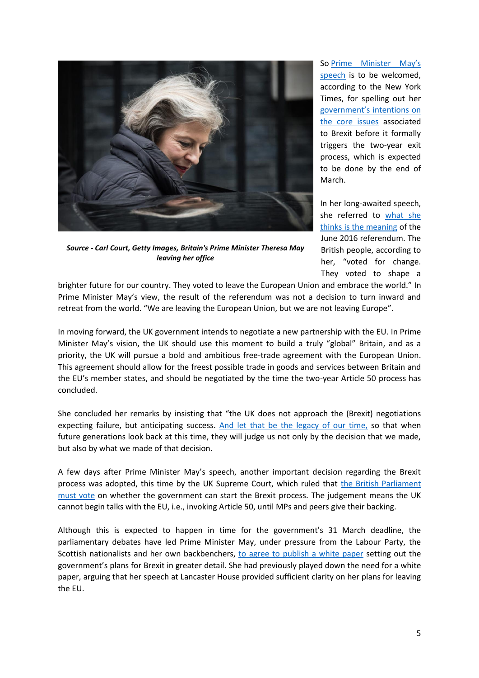

*Source - Carl Court, Getty Images, Britain's Prime Minister Theresa May leaving her office*

So [Prime Minister May's](https://www.nytimes.com/2017/01/17/world/europe/brexit-speech-quotes.html)  [speech](https://www.nytimes.com/2017/01/17/world/europe/brexit-speech-quotes.html) is to be welcomed, according to the New York Times, for spelling out her [government's intentions on](https://www.nytimes.com/2017/01/17/opinion/theresa-may-puts-the-exit-in-brexit.html?action=click&contentCollection=Opinion&module=RelatedCoverage®ion=EndOfArticle&pgtype=article)  [the core issues](https://www.nytimes.com/2017/01/17/opinion/theresa-may-puts-the-exit-in-brexit.html?action=click&contentCollection=Opinion&module=RelatedCoverage®ion=EndOfArticle&pgtype=article) associated to Brexit before it formally triggers the two-year exit process, which is expected to be done by the end of March.

In her long-awaited speech, she referred to what she [thinks is the meaning](https://www.ft.com/content/589da76c-dcb3-11e6-9d7c-be108f1c1dce) of the June 2016 referendum. The British people, according to her, "voted for change. They voted to shape a

brighter future for our country. They voted to leave the European Union and embrace the world." In Prime Minister May's view, the result of the referendum was not a decision to turn inward and retreat from the world. "We are leaving the European Union, but we are not leaving Europe".

In moving forward, the UK government intends to negotiate a new partnership with the EU. In Prime Minister May's vision, the UK should use this moment to build a truly "global" Britain, and as a priority, the UK will pursue a bold and ambitious free-trade agreement with the European Union. This agreement should allow for the freest possible trade in goods and services between Britain and the EU's member states, and should be negotiated by the time the two-year Article 50 process has concluded.

She concluded her remarks by insisting that "the UK does not approach the (Brexit) negotiations expecting failure, but anticipating success. [And let that be the legacy of our time,](http://www.economist.com/news/leaders/21713837-after-six-months-what-new-prime-minister-stands-still-unclearperhaps-even?cid1=cust/ednew/n/bl/n/2017015n/owned/n/n/nwl/n/n/E/8532313/n) so that when future generations look back at this time, they will judge us not only by the decision that we made, but also by what we made of that decision.

A few days after Prime Minister May's speech, another important decision regarding the Brexit process was adopted, this time by the UK Supreme Court, which ruled that [the British Parliament](http://www.bbc.com/news/uk-politics-38720320)  [must vote](http://www.bbc.com/news/uk-politics-38720320) on whether the government can start the Brexit process. The judgement means the UK cannot begin talks with the EU, i.e., invoking Article 50, until MPs and peers give their backing.

Although this is expected to happen in time for the government's 31 March deadline, the parliamentary debates have led Prime Minister May, under pressure from the Labour Party, the Scottish nationalists and her own backbenchers, [to agree to publish a white paper](https://www.ft.com/content/dcb1c536-d6f5-3c76-90e7-56c16bedfc2a?desktop=true&segmentId=7c8f09b9-9b61-4fbb-9430-9208a9e233c8) setting out the government's plans for Brexit in greater detail. She had previously played down the need for a white paper, arguing that her speech at Lancaster House provided sufficient clarity on her plans for leaving the EU.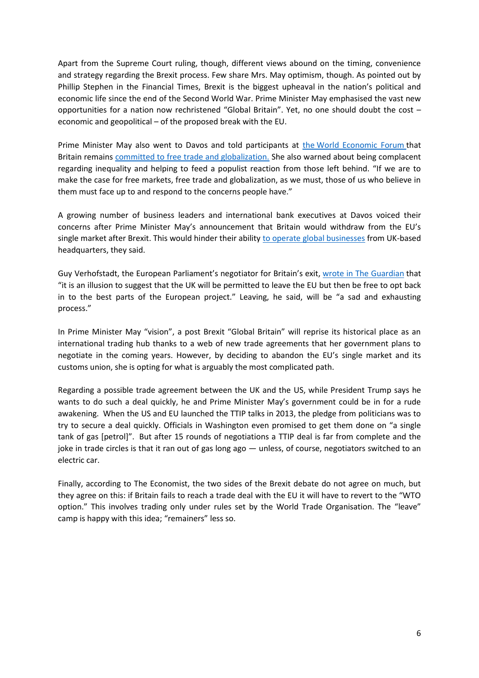Apart from the Supreme Court ruling, though, different views abound on the timing, convenience and strategy regarding the Brexit process. Few share Mrs. May optimism, though. As pointed out by Phillip Stephen in the Financial Times, Brexit is the biggest upheaval in the nation's political and economic life since the end of the Second World War. Prime Minister May emphasised the vast new opportunities for a nation now rechristened "Global Britain". Yet, no one should doubt the cost – economic and geopolitical – of the proposed break with the EU.

Prime Minister May also went to Davos and told participants at the [World Economic Forum](https://www.weforum.org/) that Britain remains [committed to free trade and globalization.](https://www.ft.com/content/bcbb3e0e-dcad-11e6-9d7c-be108f1c1dce?desktop=true&segmentId=7c8f09b9-9b61-4fbb-9430-9208a9e233c8) She also warned about being complacent regarding inequality and helping to feed a populist reaction from those left behind. "If we are to make the case for free markets, free trade and globalization, as we must, those of us who believe in them must face up to and respond to the concerns people have."

A growing number of business leaders and international bank executives at Davos voiced their concerns after Prime Minister May's announcement that Britain would withdraw from the EU's single market after Brexit. This would hinder their ability [to operate global businesses](https://www.ft.com/content/8650de44-de5d-11e6-9d7c-be108f1c1dce) from UK-based headquarters, they said.

Guy Verhofstadt, the European Parliament's negotiator for Britain's exit, [wrote in The Guardian](https://www.theguardian.com/commentisfree/2017/jan/18/not-punish-britain-shed-illusions-eu-fair-deal) that "it is an illusion to suggest that the UK will be permitted to leave the EU but then be free to opt back in to the best parts of the European project." Leaving, he said, will be "a sad and exhausting process."

In Prime Minister May "vision", a post Brexit "Global Britain" will reprise its historical place as an international trading hub thanks to a web of new trade agreements that her government plans to negotiate in the coming years. However, by deciding to abandon the EU's single market and its customs union, she is opting for what is arguably the most complicated path.

Regarding a possible trade agreement between the UK and the US, while President Trump says he wants to do such a deal quickly, he and Prime Minister May's government could be in for a rude awakening. When the US and EU launched the TTIP talks in 2013, the pledge from politicians was to try to secure a deal quickly. Officials in Washington even promised to get them done on "a single tank of gas [petrol]". But after 15 rounds of negotiations a TTIP deal is far from complete and the joke in trade circles is that it ran out of gas long ago — unless, of course, negotiators switched to an electric car.

Finally, according to The Economist, the two sides of the Brexit debate do not agree on much, but they agree on this: if Britain fails to reach a trade deal with the EU it will have to revert to the "WTO option." This involves trading only under rules set by the World Trade Organisation. The "leave" camp is happy with this idea; "remainers" less so.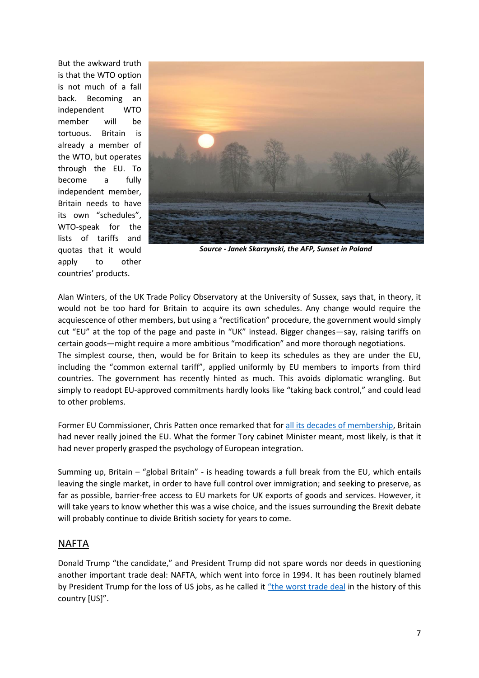But the awkward truth is that the WTO option is not much of a fall back. Becoming an independent WTO member will be tortuous. Britain is already a member of the WTO, but operates through the EU. To become a fully independent member, Britain needs to have its own "schedules", WTO-speak for the lists of tariffs and quotas that it would apply to other countries' products.



*Source - Janek Skarzynski, the AFP, Sunset in Poland*

Alan Winters, of the UK Trade Policy Observatory at the University of Sussex, says that, in theory, it would not be too hard for Britain to acquire its own schedules. Any change would require the acquiescence of other members, but using a "rectification" procedure, the government would simply cut "EU" at the top of the page and paste in "UK" instead. Bigger changes—say, raising tariffs on certain goods—might require a more ambitious "modification" and more thorough negotiations. The simplest course, then, would be for Britain to keep its schedules as they are under the EU, including the "common external tariff", applied uniformly by EU members to imports from third countries. The government has recently hinted as much. This avoids diplomatic wrangling. But simply to readopt EU-approved commitments hardly looks like "taking back control," and could lead to other problems.

Former EU Commissioner, Chris Patten once remarked that for [all its decades of membership,](https://www.ft.com/content/4434bb14-d275-11e6-b06b-680c49b4b4c0?desktop=true&%3BsegmentId=7c8f09b9-9b61-4fbb-9430-9208a9e233c8) Britain had never really joined the EU. What the former Tory cabinet Minister meant, most likely, is that it had never properly grasped the psychology of European integration.

Summing up, Britain – "global Britain" - is heading towards a full break from the EU, which entails leaving the single market, in order to have full control over immigration; and seeking to preserve, as far as possible, barrier-free access to EU markets for UK exports of goods and services. However, it will take years to know whether this was a wise choice, and the issues surrounding the Brexit debate will probably continue to divide British society for years to come.

## NAFTA

Donald Trump "the candidate," and President Trump did not spare words nor deeds in questioning another important trade deal: NAFTA, which went into force in 1994. It has been routinely blamed by President Trump for the loss of US jobs, as he called it ["the worst trade deal](https://www.bloomberg.com/politics/articles/2017-01-24/trump-s-nafta-revamp-may-hinge-on-partners-willingness-to-talk) in the history of this country [US]".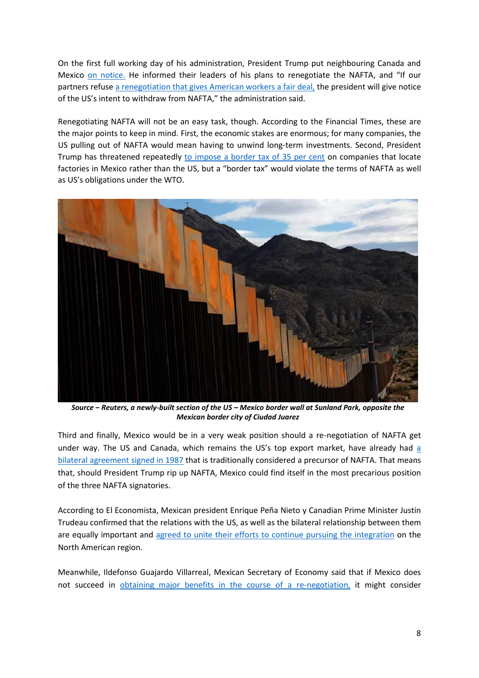On the first full working day of his administration, President Trump put neighbouring Canada and Mexico [on notice.](https://www.bloomberg.com/politics/articles/2017-01-24/trump-s-nafta-revamp-may-hinge-on-partners-willingness-to-talk) He informed their leaders of his plans to renegotiate the NAFTA, and "If our partners refuse [a renegotiation that gives American workers a fair deal,](http://www.forbes.com/sites/themexicoinstitute/2017/01/23/trump-to-announce-plans-for-renegotiation-of-nafta-five-ways-to-improve-the-agreement/#1aacda97302b) the president will give notice of the US's intent to withdraw from NAFTA," the administration said.

Renegotiating NAFTA will not be an easy task, though. According to the Financial Times, these are the major points to keep in mind. First, the economic stakes are enormous; for many companies, the US pulling out of NAFTA would mean having to unwind long-term investments. Second, President Trump has threatened repeatedly [to impose a border tax of 35 per cent](https://www.ft.com/content/4c1594c6-e18d-11e6-8405-9e5580d6e5fb?desktop=true&segmentId=7c8f09b9-9b61-4fbb-9430-9208a9e233c8) on companies that locate factories in Mexico rather than the US, but a "border tax" would violate the terms of NAFTA as well as US's obligations under the WTO.



*Source – Reuters, a newly-built section of the US – Mexico border wall at Sunland Park, opposite the Mexican border city of Ciudad Juarez*

Third and finally, Mexico would be in a very weak position should a re-negotiation of NAFTA get under way. The US and Canada, which remains the US's top export market, have already had [a](https://www.ft.com/content/4c1594c6-e18d-11e6-8405-9e5580d6e5fb?desktop=true&segmentId=7c8f09b9-9b61-4fbb-9430-9208a9e233c8)  [bilateral agreement signed in 1987](https://www.ft.com/content/4c1594c6-e18d-11e6-8405-9e5580d6e5fb?desktop=true&segmentId=7c8f09b9-9b61-4fbb-9430-9208a9e233c8) that is traditionally considered a precursor of NAFTA. That means that, should President Trump rip up NAFTA, Mexico could find itself in the most precarious position of the three NAFTA signatories.

According to El Economista, Mexican president Enrique Peña Nieto y Canadian Prime Minister Justin Trudeau confirmed that the relations with the US, as well as the bilateral relationship between them are equally important and [agreed to unite their efforts to continue pursuing the integration](http://eleconomista.com.mx/internacional/2017/01/23/mexico-canada-defenderan-tlcan) on the North American region.

Meanwhile, Ildefonso Guajardo Villarreal, Mexican Secretary of Economy said that if Mexico does not succeed in [obtaining major benefits in the course of](http://eleconomista.com.mx/finanzas-personales/2017/01/24/mexico-dejara-tlcan-no-obtiene-beneficios-renegociacion-se) a re-negotiation, it might consider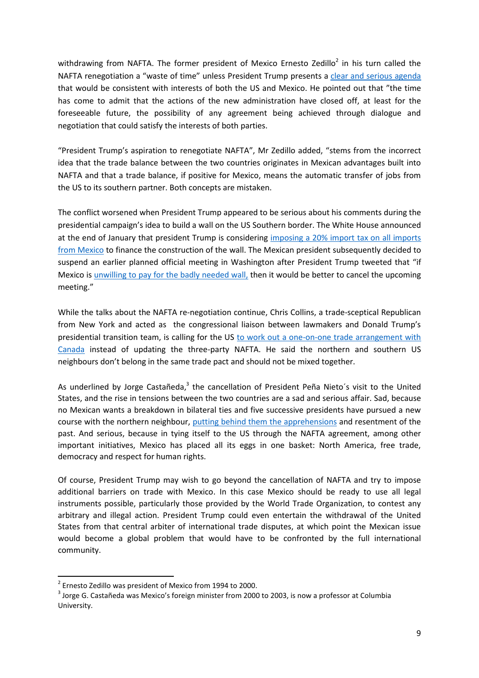withdrawing from NAFTA. The former president of Mexico Ernesto Zedillo<sup>2</sup> in his turn called the NAFTA renegotiation a "waste of time" unless President Trump presents a [clear and serious agenda](http://eleconomista.com.mx/sociedad/2017/01/28/mexico-puede-progresar-sin-donald-trump-zedillo) that would be consistent with interests of both the US and Mexico. He pointed out that "the time has come to admit that the actions of the new administration have closed off, at least for the foreseeable future, the possibility of any agreement being achieved through dialogue and negotiation that could satisfy the interests of both parties.

"President Trump's aspiration to renegotiate NAFTA", Mr Zedillo added, "stems from the incorrect idea that the trade balance between the two countries originates in Mexican advantages built into NAFTA and that a trade balance, if positive for Mexico, means the automatic transfer of jobs from the US to its southern partner. Both concepts are mistaken.

The conflict worsened when President Trump appeared to be serious about his comments during the presidential campaign's idea to build a wall on the US Southern border. The White House announced at the end of January that president Trump is considering [imposing a 20% import tax on all imports](http://edition.cnn.com/2017/01/26/politics/donald-trump-mexico-import-tax-border-wall/)  [from Mexico](http://edition.cnn.com/2017/01/26/politics/donald-trump-mexico-import-tax-border-wall/) to finance the construction of the wall. The Mexican president subsequently decided to suspend an earlier planned official meeting in Washington after President Trump tweeted that "if Mexico is [unwilling to pay for the badly needed wall,](https://twitter.com/realDonaldTrump) then it would be better to cancel the upcoming meeting."

While the talks about the NAFTA re-negotiation continue, Chris Collins, a trade-sceptical Republican from New York and acted as the congressional liaison between lawmakers and Donald Trump's presidential transition team, is calling for the US [to work out a one-on-one trade arrangement with](http://business.financialpost.com/news/economy/trump-friendly-lawmaker-forget-nafta-lets-do-one-on-one-deal-with-canada-a-country-that-is-not-mexico)  [Canada](http://business.financialpost.com/news/economy/trump-friendly-lawmaker-forget-nafta-lets-do-one-on-one-deal-with-canada-a-country-that-is-not-mexico) instead of updating the three-party NAFTA. He said the northern and southern US neighbours don't belong in the same trade pact and should not be mixed together.

As underlined by Jorge Castañeda,<sup>3</sup> the cancellation of President Peña Nieto's visit to the United States, and the rise in tensions between the two countries are a sad and serious affair. Sad, because no Mexican wants a breakdown in bilateral ties and five successive presidents have pursued a new course with the northern neighbour, [putting behind them the apprehensions](https://www.nytimes.com/2017/01/27/opinion/mexicos-forceful-resistance.html?action=click&pgtype=Homepage&clickSource=story-heading&module=opinion-c-col-top-region®ion=opinion-c-col-top-region&WT.nav=opinion-c-col-top-region) and resentment of the past. And serious, because in tying itself to the US through the NAFTA agreement, among other important initiatives, Mexico has placed all its eggs in one basket: North America, free trade, democracy and respect for human rights.

Of course, President Trump may wish to go beyond the cancellation of NAFTA and try to impose additional barriers on trade with Mexico. In this case Mexico should be ready to use all legal instruments possible, particularly those provided by the World Trade Organization, to contest any arbitrary and illegal action. President Trump could even entertain the withdrawal of the United States from that central arbiter of international trade disputes, at which point the Mexican issue would become a global problem that would have to be confronted by the full international community.

1

<sup>&</sup>lt;sup>2</sup> Ernesto Zedillo was president of Mexico from 1994 to 2000.

 $3$  Jorge G. Castañeda was Mexico's foreign minister from 2000 to 2003, is now a professor at Columbia University.